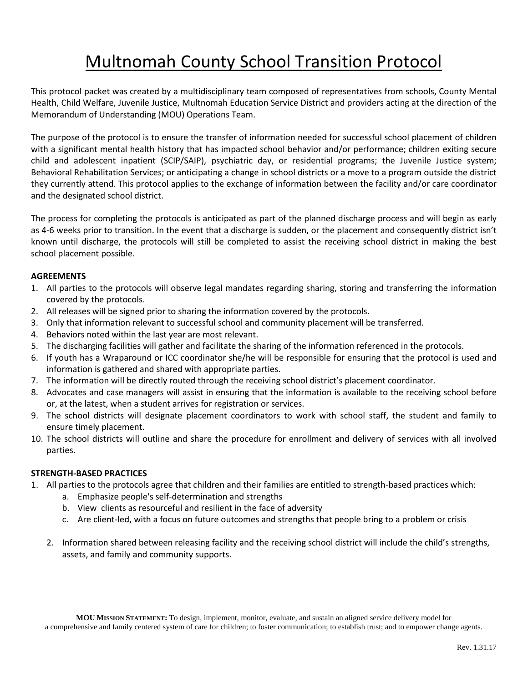# Multnomah County School Transition Protocol

This protocol packet was created by a multidisciplinary team composed of representatives from schools, County Mental Health, Child Welfare, Juvenile Justice, Multnomah Education Service District and providers acting at the direction of the Memorandum of Understanding (MOU) Operations Team.

The purpose of the protocol is to ensure the transfer of information needed for successful school placement of children with a significant mental health history that has impacted school behavior and/or performance; children exiting secure child and adolescent inpatient (SCIP/SAIP), psychiatric day, or residential programs; the Juvenile Justice system; Behavioral Rehabilitation Services; or anticipating a change in school districts or a move to a program outside the district they currently attend. This protocol applies to the exchange of information between the facility and/or care coordinator and the designated school district.

The process for completing the protocols is anticipated as part of the planned discharge process and will begin as early as 4-6 weeks prior to transition. In the event that a discharge is sudden, or the placement and consequently district isn't known until discharge, the protocols will still be completed to assist the receiving school district in making the best school placement possible.

### **AGREEMENTS**

- 1. All parties to the protocols will observe legal mandates regarding sharing, storing and transferring the information covered by the protocols.
- 2. All releases will be signed prior to sharing the information covered by the protocols.
- 3. Only that information relevant to successful school and community placement will be transferred.
- 4. Behaviors noted within the last year are most relevant.
- 5. The discharging facilities will gather and facilitate the sharing of the information referenced in the protocols.
- 6. If youth has a Wraparound or ICC coordinator she/he will be responsible for ensuring that the protocol is used and information is gathered and shared with appropriate parties.
- 7. The information will be directly routed through the receiving school district's placement coordinator.
- 8. Advocates and case managers will assist in ensuring that the information is available to the receiving school before or, at the latest, when a student arrives for registration or services.
- 9. The school districts will designate placement coordinators to work with school staff, the student and family to ensure timely placement.
- 10. The school districts will outline and share the procedure for enrollment and delivery of services with all involved parties.

### **STRENGTH-BASED PRACTICES**

- 1. All parties to the protocols agree that children and their families are entitled to strength-based practices which:
	- a. Emphasize people's self-determination and strengths
	- b. View clients as resourceful and resilient in the face of adversity
	- c. Are client-led, with a focus on future outcomes and strengths that people bring to a problem or crisis
	- 2. Information shared between releasing facility and the receiving school district will include the child's strengths, assets, and family and community supports.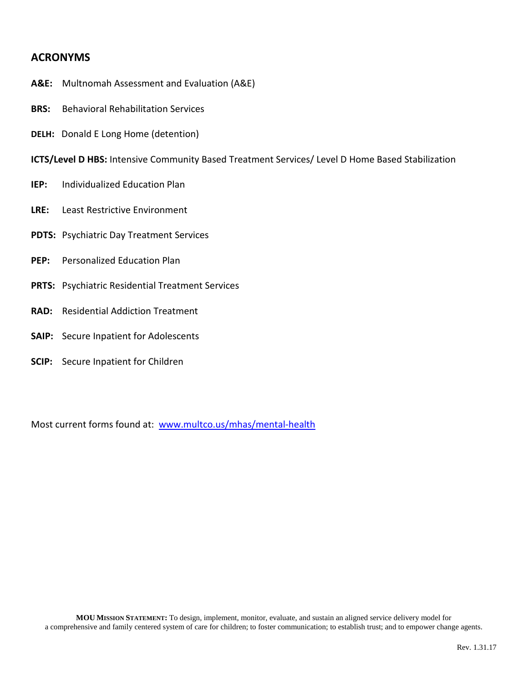# **ACRONYMS**

- **A&E:** Multnomah Assessment and Evaluation (A&E)
- **BRS:** Behavioral Rehabilitation Services
- **DELH:** Donald E Long Home (detention)
- **ICTS/Level D HBS:** Intensive Community Based Treatment Services/ Level D Home Based Stabilization
- **IEP:** Individualized Education Plan
- **LRE:** Least Restrictive Environment
- **PDTS:** Psychiatric Day Treatment Services
- **PEP:** Personalized Education Plan
- **PRTS:** Psychiatric Residential Treatment Services
- **RAD:** Residential Addiction Treatment
- **SAIP:** Secure Inpatient for Adolescents
- **SCIP:** Secure Inpatient for Children

Most current forms found at: www.multco.us/mhas/mental-health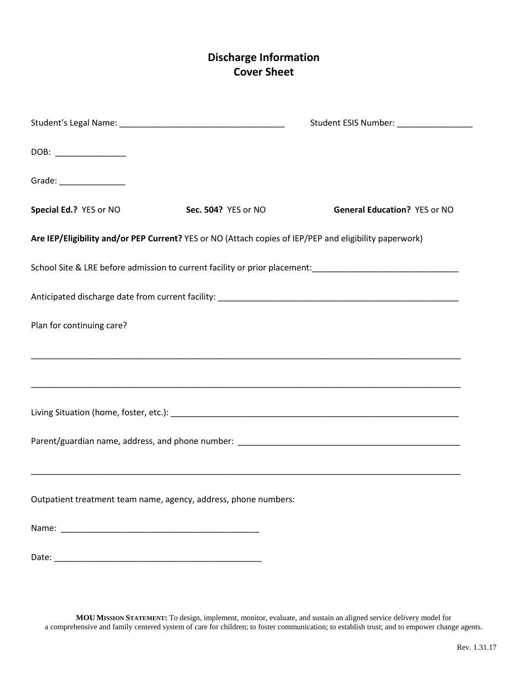# **Discharge Information Cover Sheet**

|                                                                                                                                                                                                                                |                     | Student ESIS Number: ___________________ |
|--------------------------------------------------------------------------------------------------------------------------------------------------------------------------------------------------------------------------------|---------------------|------------------------------------------|
| DOB: _______________                                                                                                                                                                                                           |                     |                                          |
| Grade: _________________                                                                                                                                                                                                       |                     |                                          |
| Special Ed.? YES or NO                                                                                                                                                                                                         | Sec. 504? YES or NO | <b>General Education? YES or NO</b>      |
| Are IEP/Eligibility and/or PEP Current? YES or NO (Attach copies of IEP/PEP and eligibility paperwork)                                                                                                                         |                     |                                          |
|                                                                                                                                                                                                                                |                     |                                          |
|                                                                                                                                                                                                                                |                     |                                          |
| Plan for continuing care?                                                                                                                                                                                                      |                     |                                          |
|                                                                                                                                                                                                                                |                     |                                          |
|                                                                                                                                                                                                                                |                     |                                          |
|                                                                                                                                                                                                                                |                     |                                          |
|                                                                                                                                                                                                                                |                     |                                          |
|                                                                                                                                                                                                                                |                     |                                          |
| Outpatient treatment team name, agency, address, phone numbers:                                                                                                                                                                |                     |                                          |
|                                                                                                                                                                                                                                |                     |                                          |
| Date: experience and a series of the series of the series of the series of the series of the series of the series of the series of the series of the series of the series of the series of the series of the series of the ser |                     |                                          |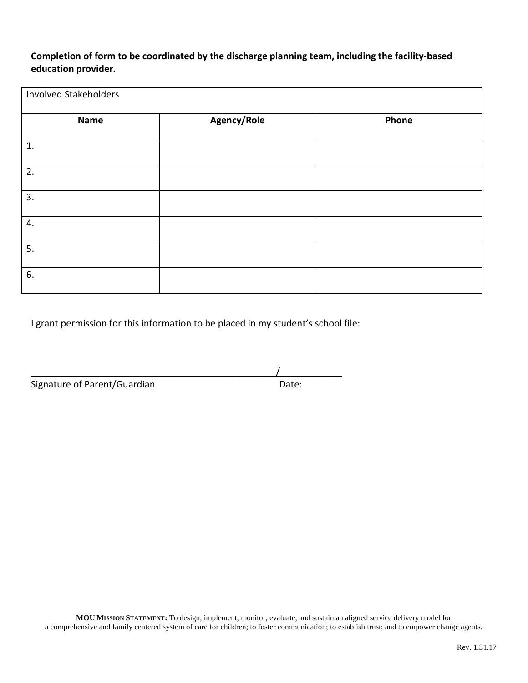**Completion of form to be coordinated by the discharge planning team, including the facility-based education provider.**

| <b>Involved Stakeholders</b> |             |       |
|------------------------------|-------------|-------|
| <b>Name</b>                  | Agency/Role | Phone |
| 1.                           |             |       |
| 2.                           |             |       |
| 3.                           |             |       |
| 4.                           |             |       |
| 5.                           |             |       |
| 6.                           |             |       |

I grant permission for this information to be placed in my student's school file:

 $\overline{\phantom{a}}$ 

Signature of Parent/Guardian Date: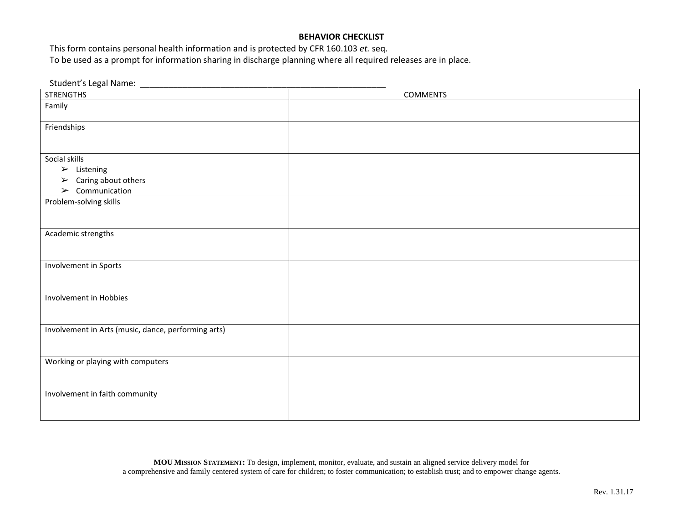### **BEHAVIOR CHECKLIST**

This form contains personal health information and is protected by CFR 160.103 *et.* seq. To be used as a prompt for information sharing in discharge planning where all required releases are in place.

Student's Legal Name:

| <b>STRENGTHS</b>                                    | <b>COMMENTS</b> |
|-----------------------------------------------------|-----------------|
| Family                                              |                 |
| Friendships                                         |                 |
|                                                     |                 |
| Social skills                                       |                 |
| $\triangleright$ Listening                          |                 |
| $\triangleright$ Caring about others                |                 |
| $\triangleright$ Communication                      |                 |
| Problem-solving skills                              |                 |
|                                                     |                 |
| Academic strengths                                  |                 |
|                                                     |                 |
|                                                     |                 |
| Involvement in Sports                               |                 |
|                                                     |                 |
| Involvement in Hobbies                              |                 |
|                                                     |                 |
|                                                     |                 |
| Involvement in Arts (music, dance, performing arts) |                 |
|                                                     |                 |
|                                                     |                 |
| Working or playing with computers                   |                 |
|                                                     |                 |
| Involvement in faith community                      |                 |
|                                                     |                 |
|                                                     |                 |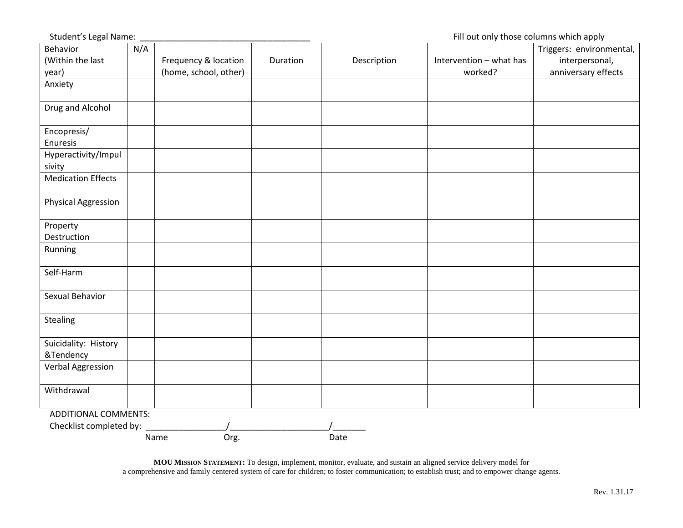Student's Legal Name: \_\_\_\_\_\_\_\_\_\_\_\_\_\_\_\_\_\_\_\_\_\_\_\_\_\_\_\_\_\_\_\_\_\_\_\_ Fill out only those columns which apply

| Behavior                    | N/A |                       |          |             |                         | Triggers: environmental, |
|-----------------------------|-----|-----------------------|----------|-------------|-------------------------|--------------------------|
| (Within the last            |     | Frequency & location  | Duration | Description | Intervention - what has | interpersonal,           |
| year)                       |     | (home, school, other) |          |             | worked?                 | anniversary effects      |
| Anxiety                     |     |                       |          |             |                         |                          |
|                             |     |                       |          |             |                         |                          |
| Drug and Alcohol            |     |                       |          |             |                         |                          |
|                             |     |                       |          |             |                         |                          |
| Encopresis/                 |     |                       |          |             |                         |                          |
| Enuresis                    |     |                       |          |             |                         |                          |
| Hyperactivity/Impul         |     |                       |          |             |                         |                          |
| sivity                      |     |                       |          |             |                         |                          |
| <b>Medication Effects</b>   |     |                       |          |             |                         |                          |
|                             |     |                       |          |             |                         |                          |
| <b>Physical Aggression</b>  |     |                       |          |             |                         |                          |
|                             |     |                       |          |             |                         |                          |
| Property                    |     |                       |          |             |                         |                          |
| Destruction                 |     |                       |          |             |                         |                          |
| Running                     |     |                       |          |             |                         |                          |
|                             |     |                       |          |             |                         |                          |
| Self-Harm                   |     |                       |          |             |                         |                          |
|                             |     |                       |          |             |                         |                          |
| Sexual Behavior             |     |                       |          |             |                         |                          |
|                             |     |                       |          |             |                         |                          |
| Stealing                    |     |                       |          |             |                         |                          |
|                             |     |                       |          |             |                         |                          |
| Suicidality: History        |     |                       |          |             |                         |                          |
| &Tendency                   |     |                       |          |             |                         |                          |
| Verbal Aggression           |     |                       |          |             |                         |                          |
|                             |     |                       |          |             |                         |                          |
| Withdrawal                  |     |                       |          |             |                         |                          |
|                             |     |                       |          |             |                         |                          |
| <b>ADDITIONAL COMMENTS:</b> |     |                       |          |             |                         |                          |
| Checklist completed by:     |     |                       |          |             |                         |                          |
|                             |     | Org.<br>Name          |          | Date        |                         |                          |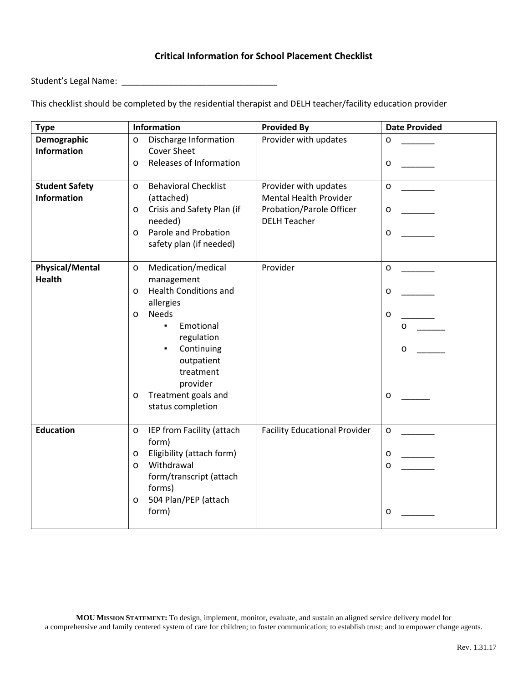## **Critical Information for School Placement Checklist**

Student's Legal Name: \_\_\_\_\_\_\_\_\_\_\_\_\_\_\_\_\_\_\_\_\_\_\_\_\_\_\_\_\_\_\_\_\_

This checklist should be completed by the residential therapist and DELH teacher/facility education provider

| <b>Type</b>                                 | Information                                                                                                                                                                                                                                       | <b>Provided By</b>                                                                                               | <b>Date Provided</b>              |
|---------------------------------------------|---------------------------------------------------------------------------------------------------------------------------------------------------------------------------------------------------------------------------------------------------|------------------------------------------------------------------------------------------------------------------|-----------------------------------|
| Demographic<br><b>Information</b>           | Discharge Information<br>O<br><b>Cover Sheet</b><br>Releases of Information<br>0                                                                                                                                                                  | Provider with updates                                                                                            | O<br>O                            |
| <b>Student Safety</b><br><b>Information</b> | <b>Behavioral Checklist</b><br>$\Omega$<br>(attached)<br>Crisis and Safety Plan (if<br>o<br>needed)<br>Parole and Probation<br>0<br>safety plan (if needed)                                                                                       | Provider with updates<br><b>Mental Health Provider</b><br><b>Probation/Parole Officer</b><br><b>DELH Teacher</b> | $\Omega$<br>$\mathsf{o}$<br>o     |
| <b>Physical/Mental</b><br><b>Health</b>     | Medication/medical<br>O<br>management<br><b>Health Conditions and</b><br>0<br>allergies<br>Needs<br>O<br>Emotional<br>٠.<br>regulation<br>Continuing<br>٠<br>outpatient<br>treatment<br>provider<br>Treatment goals and<br>о<br>status completion | Provider                                                                                                         | O<br>O<br>O<br>$\Omega$<br>O<br>o |
| <b>Education</b>                            | IEP from Facility (attach<br>o<br>form)<br>Eligibility (attach form)<br>о<br>Withdrawal<br>O<br>form/transcript (attach<br>forms)<br>504 Plan/PEP (attach<br>o<br>form)                                                                           | <b>Facility Educational Provider</b>                                                                             | O<br>о<br>O<br>o                  |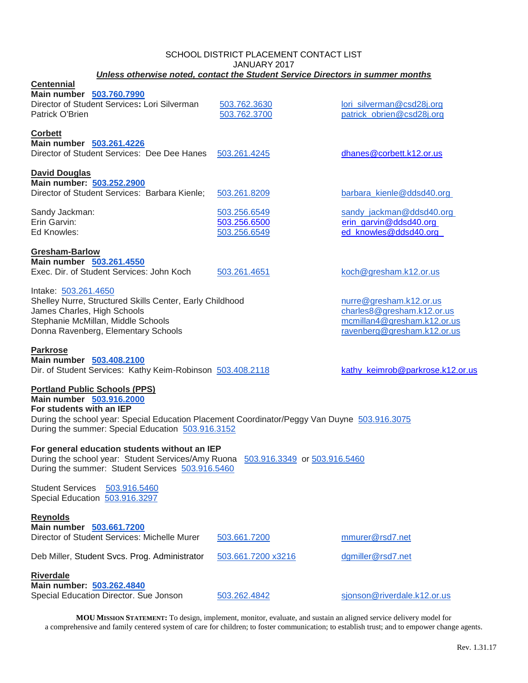#### SCHOOL DISTRICT PLACEMENT CONTACT LIST JANUARY 2017 *Unless otherwise noted, contact the Student Service Directors in summer months*

| <b>Centennial</b><br>Main number 503.760.7990<br>Director of Student Services: Lori Silverman<br>Patrick O'Brien                                                                                                                                  | 503.762.3630<br>503.762.3700                 | lori_silverman@csd28j.org<br>patrick_obrien@csd28j.org                                                              |
|---------------------------------------------------------------------------------------------------------------------------------------------------------------------------------------------------------------------------------------------------|----------------------------------------------|---------------------------------------------------------------------------------------------------------------------|
| Corbett<br>Main number 503.261.4226<br>Director of Student Services: Dee Dee Hanes                                                                                                                                                                | 503.261.4245                                 | dhanes@corbett.k12.or.us                                                                                            |
| <b>David Douglas</b><br>Main number: 503.252.2900<br>Director of Student Services: Barbara Kienle;                                                                                                                                                | 503.261.8209                                 | barbara_kienle@ddsd40.org                                                                                           |
| Sandy Jackman:<br>Erin Garvin:<br>Ed Knowles:                                                                                                                                                                                                     | 503.256.6549<br>503.256.6500<br>503.256.6549 | sandy_jackman@ddsd40.org<br>erin_garvin@ddsd40.org<br>ed_knowles@ddsd40.org                                         |
| Gresham-Barlow<br>Main number 503.261.4550<br>Exec. Dir. of Student Services: John Koch                                                                                                                                                           | 503.261.4651                                 | koch@gresham.k12.or.us                                                                                              |
| Intake: 503.261.4650<br>Shelley Nurre, Structured Skills Center, Early Childhood<br>James Charles, High Schools<br>Stephanie McMillan, Middle Schools<br>Donna Ravenberg, Elementary Schools                                                      |                                              | nurre@gresham.k12.or.us<br>charles8@gresham.k12.or.us<br>mcmillan4@gresham.k12.or.us<br>ravenberg@gresham.k12.or.us |
| <b>Parkrose</b><br>Main number 503.408.2100<br>Dir. of Student Services: Kathy Keim-Robinson 503.408.2118                                                                                                                                         |                                              | kathy_keimrob@parkrose.k12.or.us                                                                                    |
| <b>Portland Public Schools (PPS)</b><br>Main number 503.916.2000<br>For students with an IEP<br>During the school year: Special Education Placement Coordinator/Peggy Van Duyne 503.916.3075<br>During the summer: Special Education 503.916.3152 |                                              |                                                                                                                     |
| For general education students without an IEP<br>During the school year: Student Services/Amy Ruona<br>During the summer: Student Services 503.916.5460                                                                                           | 503.916.3349 or 503.916.5460                 |                                                                                                                     |
| Student Services 503.916.5460<br>Special Education 503.916.3297                                                                                                                                                                                   |                                              |                                                                                                                     |
| <b>Reynolds</b><br>Main number 503.661.7200<br>Director of Student Services: Michelle Murer                                                                                                                                                       | 503.661.7200                                 | mmurer@rsd7.net                                                                                                     |
| Deb Miller, Student Svcs. Prog. Administrator                                                                                                                                                                                                     | 503.661.7200 x3216                           | dgmiller@rsd7.net                                                                                                   |
| <b>Riverdale</b><br>Main number: 503.262.4840<br>Special Education Director. Sue Jonson                                                                                                                                                           | 503.262.4842                                 | sjonson@riverdale.k12.or.us                                                                                         |